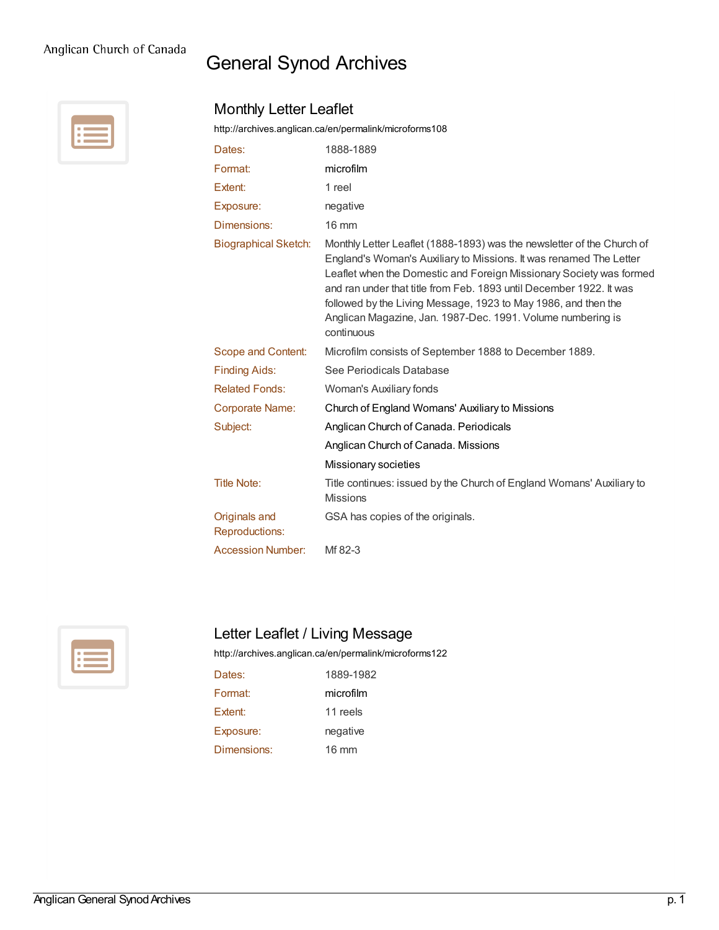## Anglican Church of Canada

## General Synod Archives

Monthly Letter Leaflet



## <http://archives.anglican.ca/en/permalink/microforms108> Dates: 1888-1889 Format: [microfilm](http://archives.anglican.ca/en/list?q=&p=1&ps=&sort=title_sort+asc&objectType_facet=microfilm) Extent: 1 reel Exposure: negative Dimensions: 16 mm Biographical Sketch: Monthly Letter Leaflet (1888-1893) was the newsletter of the Church of England's Woman's Auxiliary to Missions. It was renamed The Letter Leaflet when the Domestic and Foreign Missionary Society was formed and ran under that title from Feb. 1893 until December 1922. It was followed by the Living Message, 1923 to May 1986, and then the Anglican Magazine, Jan. 1987-Dec. 1991. Volume numbering is continuous Scope and Content: Microfilm consists of September 1888 to December 1889. Finding Aids: See Periodicals Database Related Fonds: Woman's Auxiliary fonds Corporate Name: Church of England [Womans'](http://archives.anglican.ca/en/list?q=&p=1&ps=&sort=title_sort+asc&name_facet=Church+of+England+Womans%27+Auxiliary+to+Missions) Auxiliary to Missions Subject: Anglican Church of Canada. [Periodicals](http://archives.anglican.ca/en/list?q=&p=1&ps=&sort=title_sort+asc&topic_facet=Anglican+Church+of+Canada.++Periodicals) Anglican Church of Canada. [Missions](http://archives.anglican.ca/en/list?q=&p=1&ps=&sort=title_sort+asc&topic_facet=Anglican+Church+of+Canada.+Missions) [Missionary](http://archives.anglican.ca/en/list?q=&p=1&ps=&sort=title_sort+asc&topic_facet=Missionary+societies) societies Title Note: Title continues: issued by the Church of England Womans' Auxiliary to Missions Originals and Reproductions: GSA has copies of the originals. Accession Number: Mf 82-3



## Letter Leaflet / Living Message

<http://archives.anglican.ca/en/permalink/microforms122>

| Dates:         | 1889-1982       |
|----------------|-----------------|
| Format:        | microfilm       |
| <b>Extent:</b> | 11 reels        |
| Exposure:      | negative        |
| Dimensions:    | $16 \text{ mm}$ |